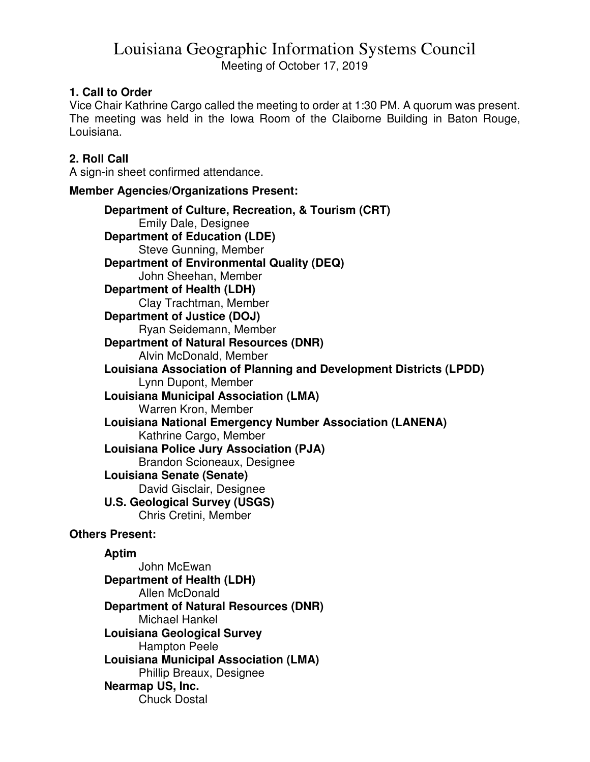# Louisiana Geographic Information Systems Council Meeting of October 17, 2019

## **1. Call to Order**

Vice Chair Kathrine Cargo called the meeting to order at 1:30 PM. A quorum was present. The meeting was held in the Iowa Room of the Claiborne Building in Baton Rouge, Louisiana.

## **2. Roll Call**

A sign-in sheet confirmed attendance.

#### **Member Agencies/Organizations Present:**

**Department of Culture, Recreation, & Tourism (CRT)**  Emily Dale, Designee **Department of Education (LDE)**  Steve Gunning, Member **Department of Environmental Quality (DEQ)**  John Sheehan, Member **Department of Health (LDH)**  Clay Trachtman, Member **Department of Justice (DOJ)**  Ryan Seidemann, Member **Department of Natural Resources (DNR)**  Alvin McDonald, Member **Louisiana Association of Planning and Development Districts (LPDD)**  Lynn Dupont, Member **Louisiana Municipal Association (LMA)**  Warren Kron, Member **Louisiana National Emergency Number Association (LANENA)**  Kathrine Cargo, Member **Louisiana Police Jury Association (PJA)**  Brandon Scioneaux, Designee **Louisiana Senate (Senate)**  David Gisclair, Designee **U.S. Geological Survey (USGS)**  Chris Cretini, Member

#### **Others Present:**

#### **Aptim**

 John McEwan **Department of Health (LDH)**  Allen McDonald **Department of Natural Resources (DNR)**  Michael Hankel **Louisiana Geological Survey**  Hampton Peele **Louisiana Municipal Association (LMA)**  Phillip Breaux, Designee **Nearmap US, Inc.**  Chuck Dostal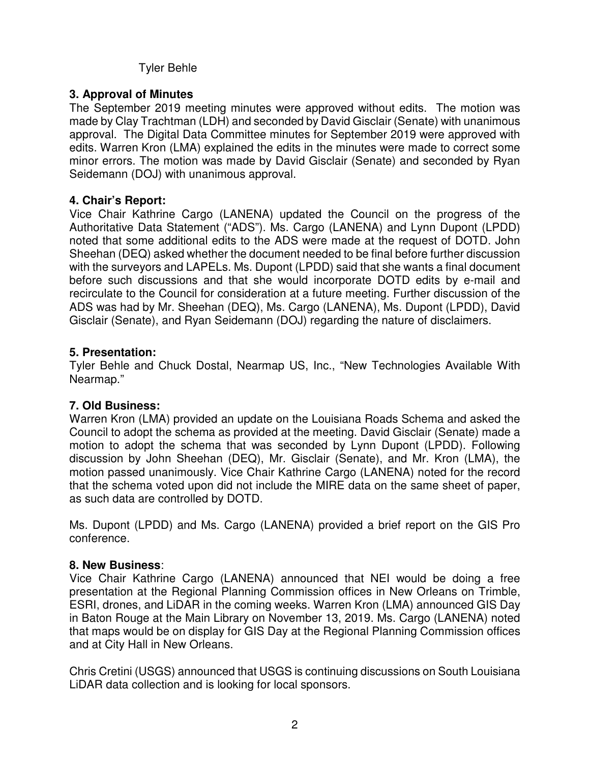# Tyler Behle

# **3. Approval of Minutes**

The September 2019 meeting minutes were approved without edits. The motion was made by Clay Trachtman (LDH) and seconded by David Gisclair (Senate) with unanimous approval. The Digital Data Committee minutes for September 2019 were approved with edits. Warren Kron (LMA) explained the edits in the minutes were made to correct some minor errors. The motion was made by David Gisclair (Senate) and seconded by Ryan Seidemann (DOJ) with unanimous approval.

### **4. Chair's Report:**

Vice Chair Kathrine Cargo (LANENA) updated the Council on the progress of the Authoritative Data Statement ("ADS"). Ms. Cargo (LANENA) and Lynn Dupont (LPDD) noted that some additional edits to the ADS were made at the request of DOTD. John Sheehan (DEQ) asked whether the document needed to be final before further discussion with the surveyors and LAPELs. Ms. Dupont (LPDD) said that she wants a final document before such discussions and that she would incorporate DOTD edits by e-mail and recirculate to the Council for consideration at a future meeting. Further discussion of the ADS was had by Mr. Sheehan (DEQ), Ms. Cargo (LANENA), Ms. Dupont (LPDD), David Gisclair (Senate), and Ryan Seidemann (DOJ) regarding the nature of disclaimers.

### **5. Presentation:**

Tyler Behle and Chuck Dostal, Nearmap US, Inc., "New Technologies Available With Nearmap."

# **7. Old Business:**

Warren Kron (LMA) provided an update on the Louisiana Roads Schema and asked the Council to adopt the schema as provided at the meeting. David Gisclair (Senate) made a motion to adopt the schema that was seconded by Lynn Dupont (LPDD). Following discussion by John Sheehan (DEQ), Mr. Gisclair (Senate), and Mr. Kron (LMA), the motion passed unanimously. Vice Chair Kathrine Cargo (LANENA) noted for the record that the schema voted upon did not include the MIRE data on the same sheet of paper, as such data are controlled by DOTD.

Ms. Dupont (LPDD) and Ms. Cargo (LANENA) provided a brief report on the GIS Pro conference.

#### **8. New Business**:

Vice Chair Kathrine Cargo (LANENA) announced that NEI would be doing a free presentation at the Regional Planning Commission offices in New Orleans on Trimble, ESRI, drones, and LiDAR in the coming weeks. Warren Kron (LMA) announced GIS Day in Baton Rouge at the Main Library on November 13, 2019. Ms. Cargo (LANENA) noted that maps would be on display for GIS Day at the Regional Planning Commission offices and at City Hall in New Orleans.

Chris Cretini (USGS) announced that USGS is continuing discussions on South Louisiana LiDAR data collection and is looking for local sponsors.